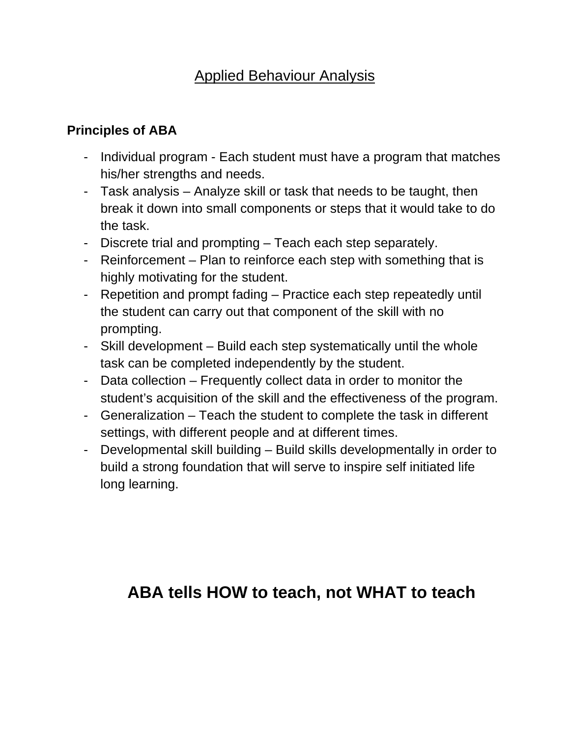## Applied Behaviour Analysis

## **Principles of ABA**

- Individual program Each student must have a program that matches his/her strengths and needs.
- Task analysis Analyze skill or task that needs to be taught, then break it down into small components or steps that it would take to do the task.
- Discrete trial and prompting Teach each step separately.
- Reinforcement Plan to reinforce each step with something that is highly motivating for the student.
- Repetition and prompt fading Practice each step repeatedly until the student can carry out that component of the skill with no prompting.
- Skill development Build each step systematically until the whole task can be completed independently by the student.
- Data collection Frequently collect data in order to monitor the student's acquisition of the skill and the effectiveness of the program.
- Generalization Teach the student to complete the task in different settings, with different people and at different times.
- Developmental skill building Build skills developmentally in order to build a strong foundation that will serve to inspire self initiated life long learning.

# **ABA tells HOW to teach, not WHAT to teach**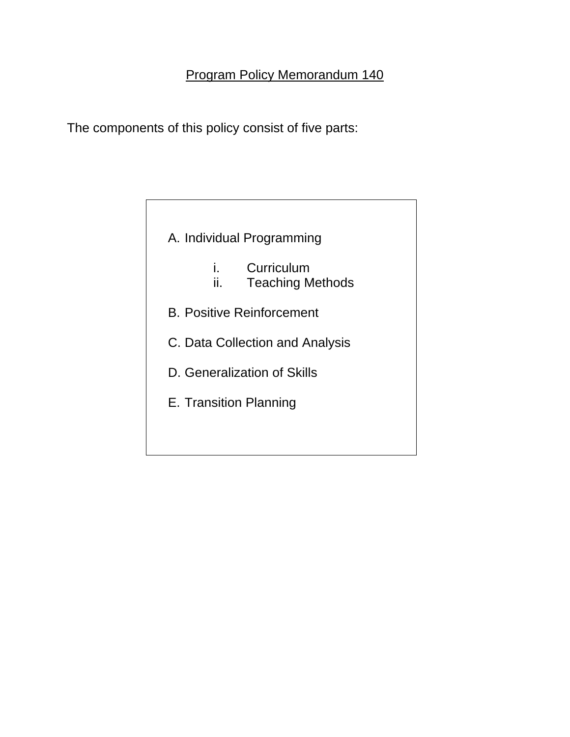The components of this policy consist of five parts:

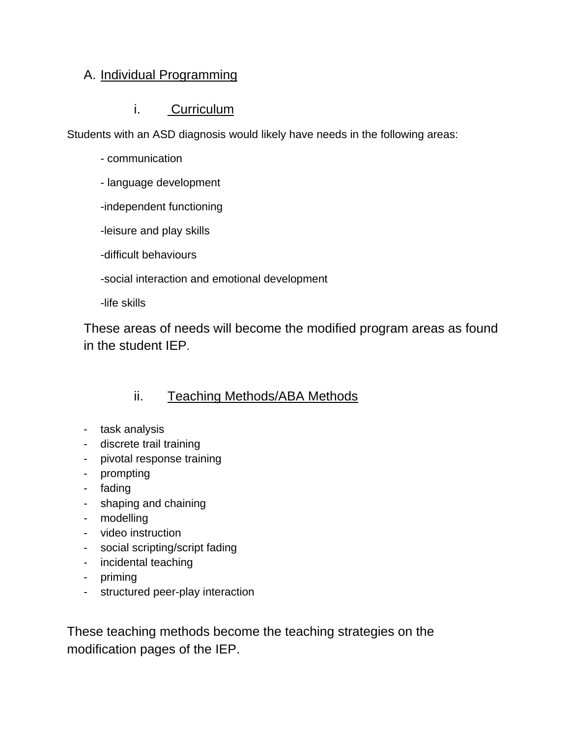#### A. Individual Programming

#### i. Curriculum

Students with an ASD diagnosis would likely have needs in the following areas:

- communication
- language development
- -independent functioning
- -leisure and play skills
- -difficult behaviours

-social interaction and emotional development

-life skills

These areas of needs will become the modified program areas as found in the student IEP.

## ii. Teaching Methods/ABA Methods

- task analysis
- discrete trail training
- pivotal response training
- prompting
- fading
- shaping and chaining
- modelling
- video instruction
- social scripting/script fading
- incidental teaching
- priming
- structured peer-play interaction

These teaching methods become the teaching strategies on the modification pages of the IEP.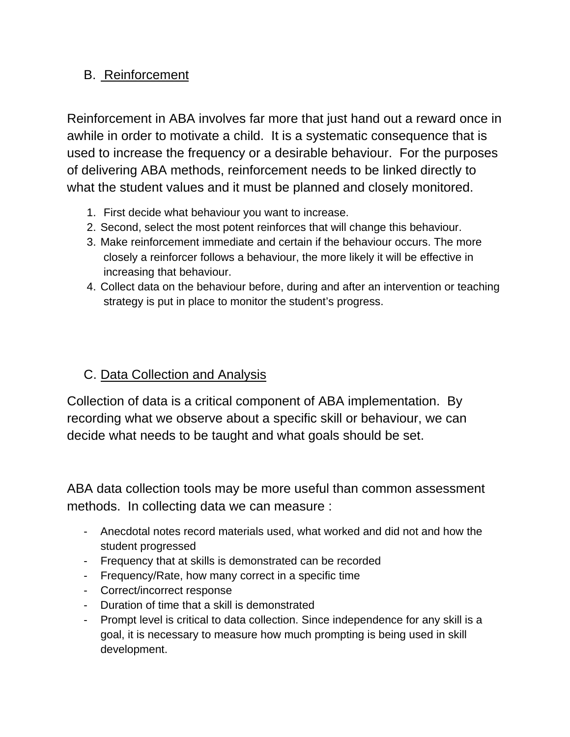### B. Reinforcement

Reinforcement in ABA involves far more that just hand out a reward once in awhile in order to motivate a child. It is a systematic consequence that is used to increase the frequency or a desirable behaviour. For the purposes of delivering ABA methods, reinforcement needs to be linked directly to what the student values and it must be planned and closely monitored.

- 1. First decide what behaviour you want to increase.
- 2. Second, select the most potent reinforces that will change this behaviour.
- 3. Make reinforcement immediate and certain if the behaviour occurs. The more closely a reinforcer follows a behaviour, the more likely it will be effective in increasing that behaviour.
- 4. Collect data on the behaviour before, during and after an intervention or teaching strategy is put in place to monitor the student's progress.

## C. Data Collection and Analysis

Collection of data is a critical component of ABA implementation. By recording what we observe about a specific skill or behaviour, we can decide what needs to be taught and what goals should be set.

ABA data collection tools may be more useful than common assessment methods. In collecting data we can measure :

- Anecdotal notes record materials used, what worked and did not and how the student progressed
- Frequency that at skills is demonstrated can be recorded
- Frequency/Rate, how many correct in a specific time
- Correct/incorrect response
- Duration of time that a skill is demonstrated
- Prompt level is critical to data collection. Since independence for any skill is a goal, it is necessary to measure how much prompting is being used in skill development.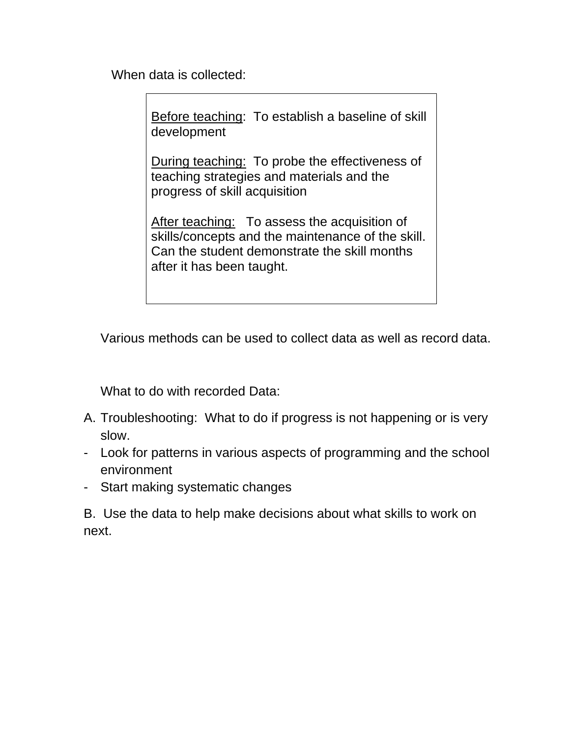When data is collected:

Before teaching: To establish a baseline of skill development

During teaching: To probe the effectiveness of teaching strategies and materials and the progress of skill acquisition

After teaching: To assess the acquisition of skills/concepts and the maintenance of the skill. Can the student demonstrate the skill months after it has been taught.

Various methods can be used to collect data as well as record data.

What to do with recorded Data:

- A. Troubleshooting: What to do if progress is not happening or is very slow.
- Look for patterns in various aspects of programming and the school environment
- Start making systematic changes

B. Use the data to help make decisions about what skills to work on next.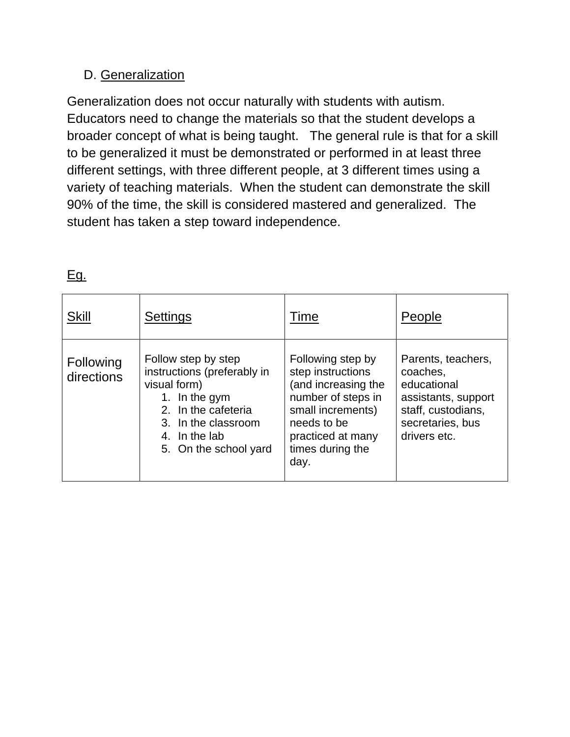## D. Generalization

Generalization does not occur naturally with students with autism. Educators need to change the materials so that the student develops a broader concept of what is being taught. The general rule is that for a skill to be generalized it must be demonstrated or performed in at least three different settings, with three different people, at 3 different times using a variety of teaching materials. When the student can demonstrate the skill 90% of the time, the skill is considered mastered and generalized. The student has taken a step toward independence.

| <b>Skill</b>            | <b>Settings</b>                                                                                                                                                             | Time                                                                                                                                                                     | People                                                                                                                         |
|-------------------------|-----------------------------------------------------------------------------------------------------------------------------------------------------------------------------|--------------------------------------------------------------------------------------------------------------------------------------------------------------------------|--------------------------------------------------------------------------------------------------------------------------------|
| Following<br>directions | Follow step by step<br>instructions (preferably in<br>visual form)<br>1. In the gym<br>2. In the cafeteria<br>3. In the classroom<br>4. In the lab<br>5. On the school yard | Following step by<br>step instructions<br>(and increasing the<br>number of steps in<br>small increments)<br>needs to be<br>practiced at many<br>times during the<br>day. | Parents, teachers,<br>coaches,<br>educational<br>assistants, support<br>staff, custodians,<br>secretaries, bus<br>drivers etc. |

Eg.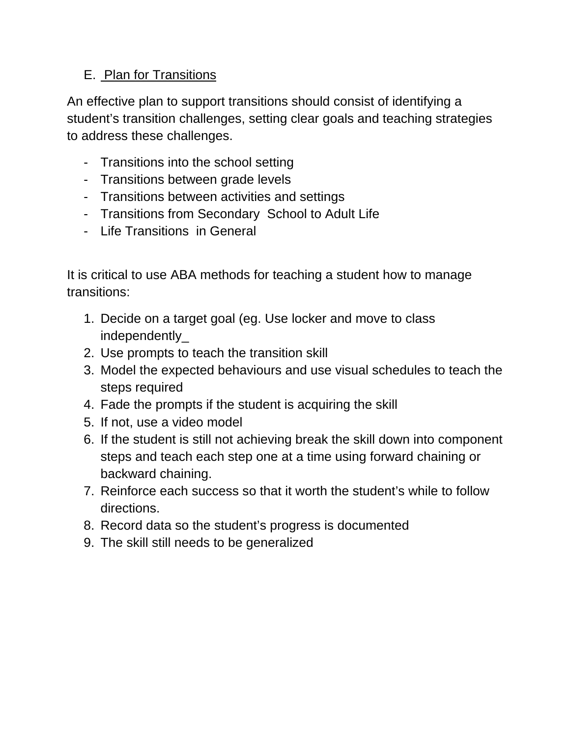## E. Plan for Transitions

An effective plan to support transitions should consist of identifying a student's transition challenges, setting clear goals and teaching strategies to address these challenges.

- Transitions into the school setting
- Transitions between grade levels
- Transitions between activities and settings
- Transitions from Secondary School to Adult Life
- Life Transitions in General

It is critical to use ABA methods for teaching a student how to manage transitions:

- 1. Decide on a target goal (eg. Use locker and move to class independently\_
- 2. Use prompts to teach the transition skill
- 3. Model the expected behaviours and use visual schedules to teach the steps required
- 4. Fade the prompts if the student is acquiring the skill
- 5. If not, use a video model
- 6. If the student is still not achieving break the skill down into component steps and teach each step one at a time using forward chaining or backward chaining.
- 7. Reinforce each success so that it worth the student's while to follow directions.
- 8. Record data so the student's progress is documented
- 9. The skill still needs to be generalized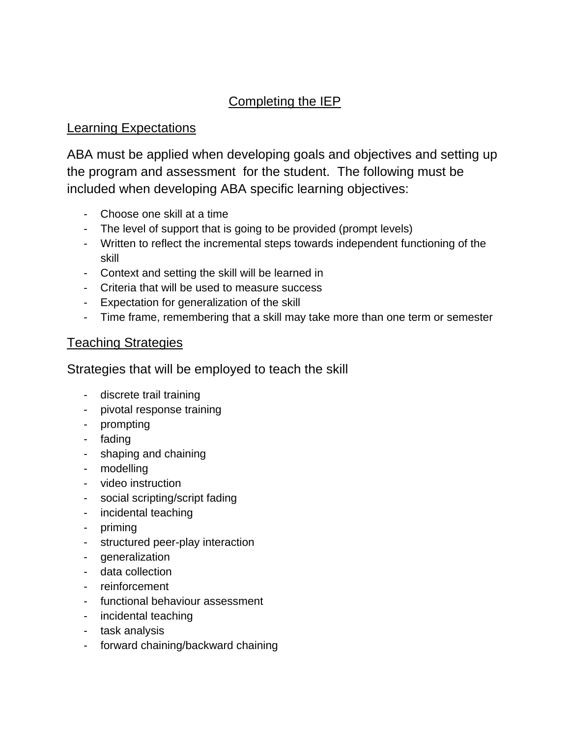## Completing the IEP

#### Learning Expectations

ABA must be applied when developing goals and objectives and setting up the program and assessment for the student. The following must be included when developing ABA specific learning objectives:

- Choose one skill at a time
- The level of support that is going to be provided (prompt levels)
- Written to reflect the incremental steps towards independent functioning of the skill
- Context and setting the skill will be learned in
- Criteria that will be used to measure success
- Expectation for generalization of the skill
- Time frame, remembering that a skill may take more than one term or semester

#### Teaching Strategies

#### Strategies that will be employed to teach the skill

- discrete trail training
- pivotal response training
- prompting
- fading
- shaping and chaining
- modelling
- video instruction
- social scripting/script fading
- incidental teaching
- priming
- structured peer-play interaction
- generalization
- data collection
- reinforcement
- functional behaviour assessment
- incidental teaching
- task analysis
- forward chaining/backward chaining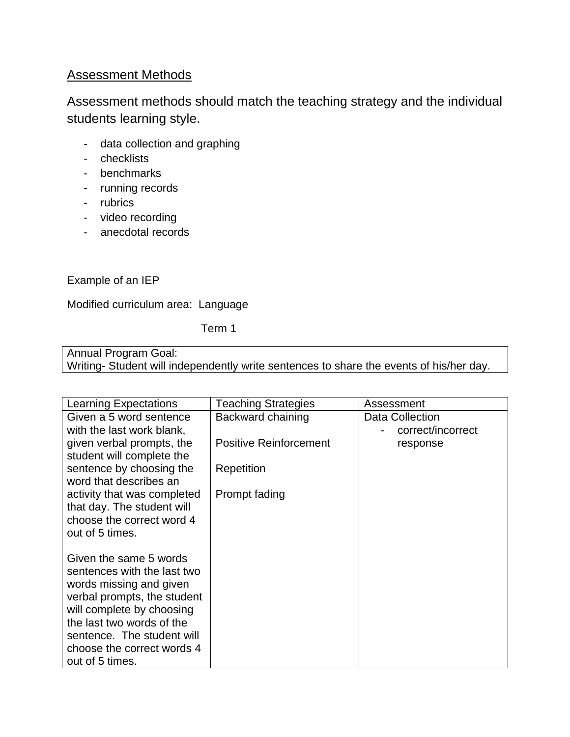#### Assessment Methods

Assessment methods should match the teaching strategy and the individual students learning style.

- data collection and graphing
- checklists
- benchmarks
- running records
- rubrics
- video recording
- anecdotal records

Example of an IEP

Modified curriculum area: Language

Term 1

Annual Program Goal: Writing- Student will independently write sentences to share the events of his/her day.

| Learning Expectations                                   | <b>Teaching Strategies</b>    | Assessment        |
|---------------------------------------------------------|-------------------------------|-------------------|
| Given a 5 word sentence                                 | Backward chaining             | Data Collection   |
| with the last work blank,                               |                               | correct/incorrect |
| given verbal prompts, the                               | <b>Positive Reinforcement</b> | response          |
| student will complete the                               |                               |                   |
| sentence by choosing the                                | Repetition                    |                   |
| word that describes an                                  |                               |                   |
| activity that was completed                             | Prompt fading                 |                   |
| that day. The student will<br>choose the correct word 4 |                               |                   |
| out of 5 times.                                         |                               |                   |
|                                                         |                               |                   |
| Given the same 5 words                                  |                               |                   |
| sentences with the last two                             |                               |                   |
| words missing and given                                 |                               |                   |
| verbal prompts, the student                             |                               |                   |
| will complete by choosing                               |                               |                   |
| the last two words of the                               |                               |                   |
| sentence. The student will                              |                               |                   |
| choose the correct words 4                              |                               |                   |
| out of 5 times.                                         |                               |                   |